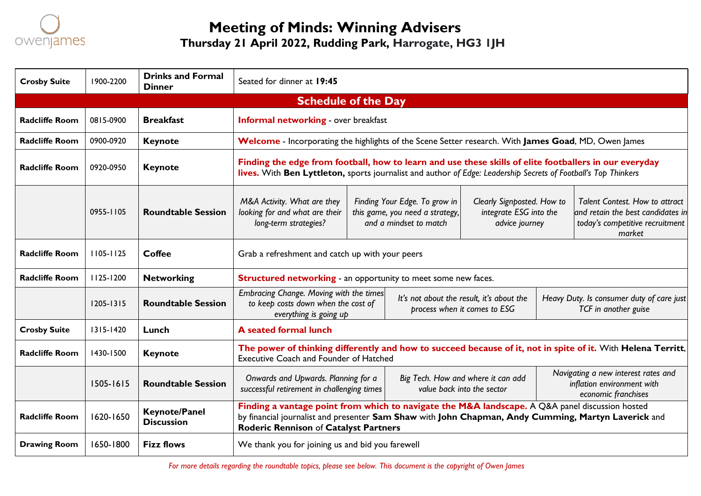

# **Meeting of Minds: Winning Advisers Thursday 21 April 2022, Rudding Park, Harrogate, HG3 1JH**

| <b>Crosby Suite</b>        | 1900-2200     | <b>Drinks and Formal</b><br><b>Dinner</b> | Seated for dinner at 19:45                                                                                                                                                                                                                             |                                                                                            |                                                                           |  |                                                                                                                         |  |  |
|----------------------------|---------------|-------------------------------------------|--------------------------------------------------------------------------------------------------------------------------------------------------------------------------------------------------------------------------------------------------------|--------------------------------------------------------------------------------------------|---------------------------------------------------------------------------|--|-------------------------------------------------------------------------------------------------------------------------|--|--|
| <b>Schedule of the Day</b> |               |                                           |                                                                                                                                                                                                                                                        |                                                                                            |                                                                           |  |                                                                                                                         |  |  |
| <b>Radcliffe Room</b>      | 0815-0900     | <b>Breakfast</b>                          | <b>Informal networking</b> - over breakfast                                                                                                                                                                                                            |                                                                                            |                                                                           |  |                                                                                                                         |  |  |
| <b>Radcliffe Room</b>      | 0900-0920     | <b>Keynote</b>                            | Welcome - Incorporating the highlights of the Scene Setter research. With James Goad, MD, Owen James                                                                                                                                                   |                                                                                            |                                                                           |  |                                                                                                                         |  |  |
| <b>Radcliffe Room</b>      | 0920-0950     | <b>Keynote</b>                            | Finding the edge from football, how to learn and use these skills of elite footballers in our everyday<br>lives. With Ben Lyttleton, sports journalist and author of Edge: Leadership Secrets of Football's Top Thinkers                               |                                                                                            |                                                                           |  |                                                                                                                         |  |  |
|                            | 0955-1105     | <b>Roundtable Session</b>                 | M&A Activity. What are they<br>looking for and what are their<br>long-term strategies?                                                                                                                                                                 | Finding Your Edge. To grow in<br>this game, you need a strategy,<br>and a mindset to match | Clearly Signposted. How to<br>integrate ESG into the<br>advice journey    |  | <b>Talent Contest. How to attract</b><br>and retain the best candidates in<br>today's competitive recruitment<br>market |  |  |
| <b>Radcliffe Room</b>      | $1105 - 1125$ | <b>Coffee</b>                             | Grab a refreshment and catch up with your peers                                                                                                                                                                                                        |                                                                                            |                                                                           |  |                                                                                                                         |  |  |
| <b>Radcliffe Room</b>      | 1125-1200     | <b>Networking</b>                         | <b>Structured networking - an opportunity to meet some new faces.</b>                                                                                                                                                                                  |                                                                                            |                                                                           |  |                                                                                                                         |  |  |
|                            | 1205-1315     | <b>Roundtable Session</b>                 | Embracing Change. Moving with the times<br>to keep costs down when the cost of<br>everything is going up                                                                                                                                               |                                                                                            | It's not about the result, it's about the<br>process when it comes to ESG |  | Heavy Duty. Is consumer duty of care just<br>TCF in another guise                                                       |  |  |
| <b>Crosby Suite</b>        | $1315 - 1420$ | Lunch                                     | A seated formal lunch                                                                                                                                                                                                                                  |                                                                                            |                                                                           |  |                                                                                                                         |  |  |
| <b>Radcliffe Room</b>      | 1430-1500     | <b>Keynote</b>                            | The power of thinking differently and how to succeed because of it, not in spite of it. With Helena Territt,<br><b>Executive Coach and Founder of Hatched</b>                                                                                          |                                                                                            |                                                                           |  |                                                                                                                         |  |  |
|                            | 1505-1615     | <b>Roundtable Session</b>                 | Onwards and Upwards. Planning for a<br>successful retirement in challenging times                                                                                                                                                                      |                                                                                            | Big Tech. How and where it can add<br>value back into the sector          |  | Navigating a new interest rates and<br>inflation environment with<br>economic franchises                                |  |  |
| <b>Radcliffe Room</b>      | 1620-1650     | <b>Keynote/Panel</b><br><b>Discussion</b> | Finding a vantage point from which to navigate the M&A landscape. A Q&A panel discussion hosted<br>by financial journalist and presenter Sam Shaw with John Chapman, Andy Cumming, Martyn Laverick and<br><b>Roderic Rennison of Catalyst Partners</b> |                                                                                            |                                                                           |  |                                                                                                                         |  |  |
| <b>Drawing Room</b>        | 1650-1800     | <b>Fizz flows</b>                         | We thank you for joining us and bid you farewell                                                                                                                                                                                                       |                                                                                            |                                                                           |  |                                                                                                                         |  |  |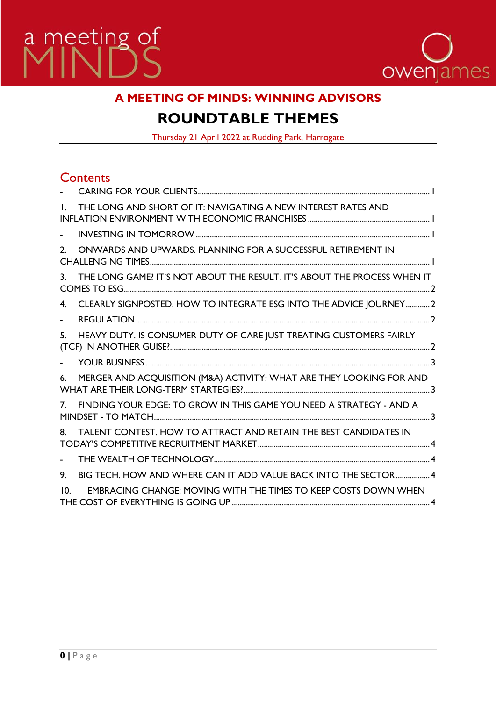



# **A MEETING OF MINDS: WINNING ADVISORS**

# **ROUNDTABLE THEMES**

Thursday 21 April 2022 at Rudding Park, Harrogate

# **Contents**

| $\mathbf{L}$    | THE LONG AND SHORT OF IT: NAVIGATING A NEW INTEREST RATES AND            |  |
|-----------------|--------------------------------------------------------------------------|--|
|                 |                                                                          |  |
| $2^{\circ}$     | ONWARDS AND UPWARDS. PLANNING FOR A SUCCESSFUL RETIREMENT IN             |  |
| 3.              | THE LONG GAME? IT'S NOT ABOUT THE RESULT, IT'S ABOUT THE PROCESS WHEN IT |  |
| 4 <sub>1</sub>  | CLEARLY SIGNPOSTED. HOW TO INTEGRATE ESG INTO THE ADVICE JOURNEY2        |  |
|                 |                                                                          |  |
| 5.              | HEAVY DUTY. IS CONSUMER DUTY OF CARE JUST TREATING CUSTOMERS FAIRLY      |  |
|                 |                                                                          |  |
| 6.              | MERGER AND ACQUISITION (M&A) ACTIVITY: WHAT ARE THEY LOOKING FOR AND     |  |
| 7 <sup>1</sup>  | FINDING YOUR EDGE: TO GROW IN THIS GAME YOU NEED A STRATEGY - AND A      |  |
| 8.              | TALENT CONTEST. HOW TO ATTRACT AND RETAIN THE BEST CANDIDATES IN         |  |
| $\blacksquare$  |                                                                          |  |
| 9.              | BIG TECH. HOW AND WHERE CAN IT ADD VALUE BACK INTO THE SECTOR  4         |  |
| 10 <sup>1</sup> | <b>EMBRACING CHANGE: MOVING WITH THE TIMES TO KEEP COSTS DOWN WHEN</b>   |  |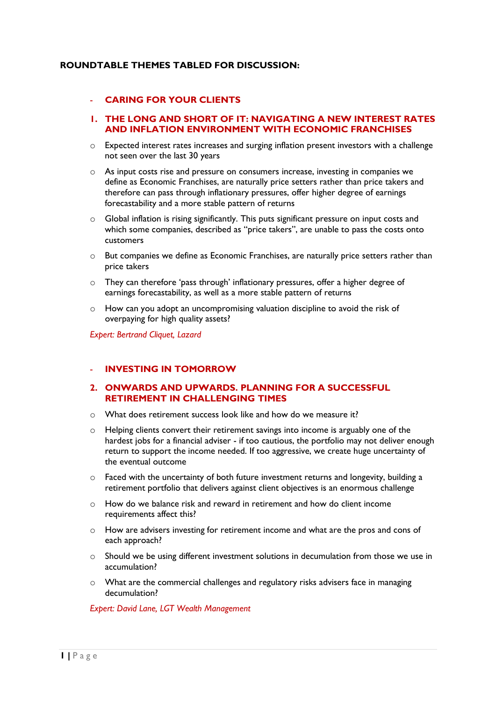# <span id="page-2-0"></span>**ROUNDTABLE THEMES TABLED FOR DISCUSSION:**

# - **CARING FOR YOUR CLIENTS**

### <span id="page-2-1"></span>**1. THE LONG AND SHORT OF IT: NAVIGATING A NEW INTEREST RATES AND INFLATION ENVIRONMENT WITH ECONOMIC FRANCHISES**

- $\circ$  Expected interest rates increases and surging inflation present investors with a challenge not seen over the last 30 years
- o As input costs rise and pressure on consumers increase, investing in companies we define as Economic Franchises, are naturally price setters rather than price takers and therefore can pass through inflationary pressures, offer higher degree of earnings forecastability and a more stable pattern of returns
- o Global inflation is rising significantly. This puts significant pressure on input costs and which some companies, described as "price takers", are unable to pass the costs onto customers
- o But companies we define as Economic Franchises, are naturally price setters rather than price takers
- $\circ$  They can therefore 'pass through' inflationary pressures, offer a higher degree of earnings forecastability, as well as a more stable pattern of returns
- $\circ$  How can you adopt an uncompromising valuation discipline to avoid the risk of overpaying for high quality assets?

*Expert: Bertrand Cliquet, Lazard*

## <span id="page-2-2"></span>- **INVESTING IN TOMORROW**

# <span id="page-2-3"></span>**2. ONWARDS AND UPWARDS. PLANNING FOR A SUCCESSFUL RETIREMENT IN CHALLENGING TIMES**

- o What does retirement success look like and how do we measure it?
- $\circ$  Helping clients convert their retirement savings into income is arguably one of the hardest jobs for a financial adviser - if too cautious, the portfolio may not deliver enough return to support the income needed. If too aggressive, we create huge uncertainty of the eventual outcome
- o Faced with the uncertainty of both future investment returns and longevity, building a retirement portfolio that delivers against client objectives is an enormous challenge
- o How do we balance risk and reward in retirement and how do client income requirements affect this?
- o How are advisers investing for retirement income and what are the pros and cons of each approach?
- o Should we be using different investment solutions in decumulation from those we use in accumulation?
- $\circ$  What are the commercial challenges and regulatory risks advisers face in managing decumulation?

*Expert: David Lane, LGT Wealth Management*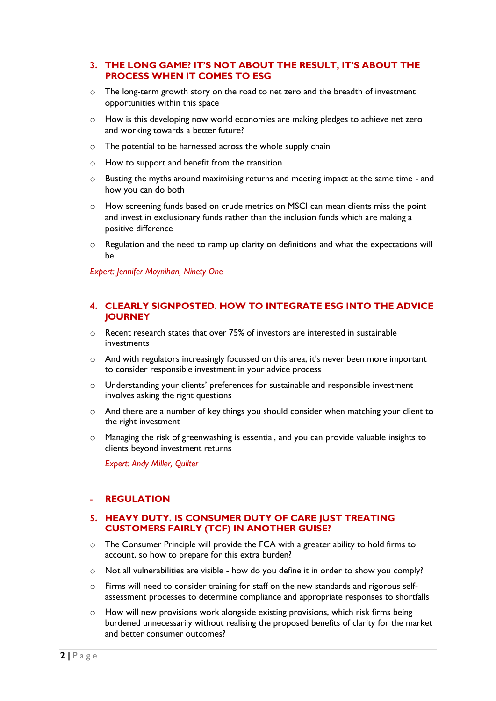# <span id="page-3-0"></span>**3. THE LONG GAME? IT'S NOT ABOUT THE RESULT, IT'S ABOUT THE PROCESS WHEN IT COMES TO ESG**

- $\circ$  The long-term growth story on the road to net zero and the breadth of investment opportunities within this space
- o How is this developing now world economies are making pledges to achieve net zero and working towards a better future?
- o The potential to be harnessed across the whole supply chain
- o How to support and benefit from the transition
- o Busting the myths around maximising returns and meeting impact at the same time and how you can do both
- o How screening funds based on crude metrics on MSCI can mean clients miss the point and invest in exclusionary funds rather than the inclusion funds which are making a positive difference
- $\circ$  Regulation and the need to ramp up clarity on definitions and what the expectations will be

*Expert: Jennifer Moynihan, Ninety One*

# **4. CLEARLY SIGNPOSTED. HOW TO INTEGRATE ESG INTO THE ADVICE JOURNEY**

- o Recent research states that over 75% of investors are interested in sustainable investments
- o And with regulators increasingly focussed on this area, it's never been more important to consider responsible investment in your advice process
- $\circ$  Understanding your clients' preferences for sustainable and responsible investment involves asking the right questions
- o And there are a number of key things you should consider when matching your client to the right investment
- o Managing the risk of greenwashing is essential, and you can provide valuable insights to clients beyond investment returns

*Expert: Andy Miller, Quilter*

# <span id="page-3-1"></span>- **REGULATION**

# <span id="page-3-2"></span>**5. HEAVY DUTY. IS CONSUMER DUTY OF CARE JUST TREATING CUSTOMERS FAIRLY (TCF) IN ANOTHER GUISE?**

- o The Consumer Principle will provide the FCA with a greater ability to hold firms to account, so how to prepare for this extra burden?
- o Not all vulnerabilities are visible how do you define it in order to show you comply?
- o Firms will need to consider training for staff on the new standards and rigorous selfassessment processes to determine compliance and appropriate responses to shortfalls
- o How will new provisions work alongside existing provisions, which risk firms being burdened unnecessarily without realising the proposed benefits of clarity for the market and better consumer outcomes?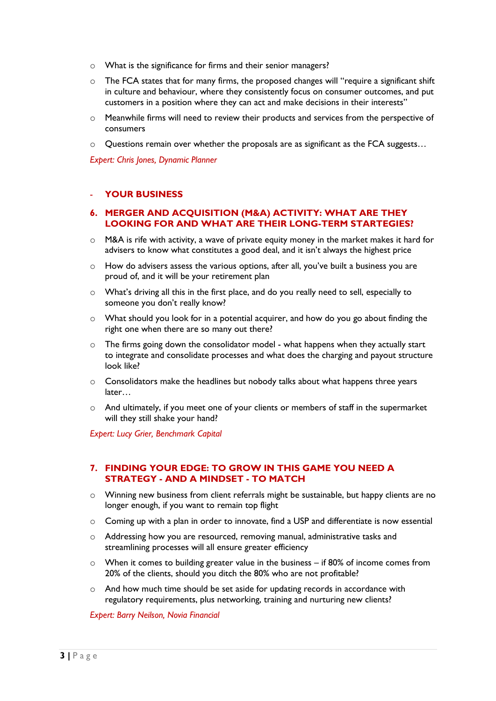- o What is the significance for firms and their senior managers?
- $\circ$  The FCA states that for many firms, the proposed changes will "require a significant shift in culture and behaviour, where they consistently focus on consumer outcomes, and put customers in a position where they can act and make decisions in their interests"
- o Meanwhile firms will need to review their products and services from the perspective of consumers
- $\circ$  Questions remain over whether the proposals are as significant as the FCA suggests...

*Expert: Chris Jones, Dynamic Planner*

# <span id="page-4-0"></span>- **YOUR BUSINESS**

## <span id="page-4-1"></span>**6. MERGER AND ACQUISITION (M&A) ACTIVITY: WHAT ARE THEY LOOKING FOR AND WHAT ARE THEIR LONG-TERM STARTEGIES?**

- $\circ$  M&A is rife with activity, a wave of private equity money in the market makes it hard for advisers to know what constitutes a good deal, and it isn't always the highest price
- o How do advisers assess the various options, after all, you've built a business you are proud of, and it will be your retirement plan
- o What's driving all this in the first place, and do you really need to sell, especially to someone you don't really know?
- o What should you look for in a potential acquirer, and how do you go about finding the right one when there are so many out there?
- o The firms going down the consolidator model what happens when they actually start to integrate and consolidate processes and what does the charging and payout structure look like?
- o Consolidators make the headlines but nobody talks about what happens three years later…
- o And ultimately, if you meet one of your clients or members of staff in the supermarket will they still shake your hand?

*Expert: Lucy Grier, Benchmark Capital*

# <span id="page-4-2"></span>**7. FINDING YOUR EDGE: TO GROW IN THIS GAME YOU NEED A STRATEGY - AND A MINDSET - TO MATCH**

- $\circ$  Winning new business from client referrals might be sustainable, but happy clients are no longer enough, if you want to remain top flight
- $\circ$  Coming up with a plan in order to innovate, find a USP and differentiate is now essential
- o Addressing how you are resourced, removing manual, administrative tasks and streamlining processes will all ensure greater efficiency
- $\circ$  When it comes to building greater value in the business if 80% of income comes from 20% of the clients, should you ditch the 80% who are not profitable?
- o And how much time should be set aside for updating records in accordance with regulatory requirements, plus networking, training and nurturing new clients?

*Expert: Barry Neilson, Novia Financial*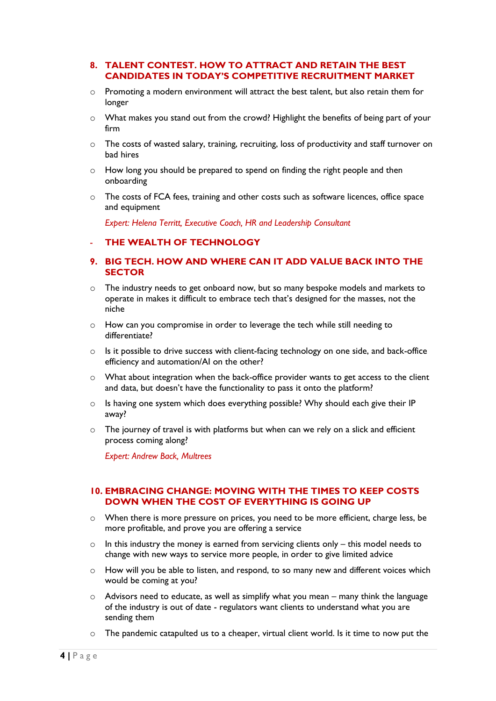# <span id="page-5-0"></span>**8. TALENT CONTEST. HOW TO ATTRACT AND RETAIN THE BEST CANDIDATES IN TODAY'S COMPETITIVE RECRUITMENT MARKET**

- $\circ$  Promoting a modern environment will attract the best talent, but also retain them for longer
- o What makes you stand out from the crowd? Highlight the benefits of being part of your firm
- $\circ$  The costs of wasted salary, training, recruiting, loss of productivity and staff turnover on bad hires
- $\circ$  How long you should be prepared to spend on finding the right people and then onboarding
- $\circ$  The costs of FCA fees, training and other costs such as software licences, office space and equipment

*Expert: Helena Territt, Executive Coach, HR and Leadership Consultant*

#### <span id="page-5-1"></span>- **THE WEALTH OF TECHNOLOGY**

# <span id="page-5-2"></span>**9. BIG TECH. HOW AND WHERE CAN IT ADD VALUE BACK INTO THE SECTOR**

- $\circ$  The industry needs to get onboard now, but so many bespoke models and markets to operate in makes it difficult to embrace tech that's designed for the masses, not the niche
- $\circ$  How can you compromise in order to leverage the tech while still needing to differentiate?
- o Is it possible to drive success with client-facing technology on one side, and back-office efficiency and automation/AI on the other?
- o What about integration when the back-office provider wants to get access to the client and data, but doesn't have the functionality to pass it onto the platform?
- $\circ$  Is having one system which does everything possible? Why should each give their IP away?
- $\circ$  The journey of travel is with platforms but when can we rely on a slick and efficient process coming along?

*Expert: Andrew Back, Multrees*

# <span id="page-5-3"></span>**10. EMBRACING CHANGE: MOVING WITH THE TIMES TO KEEP COSTS DOWN WHEN THE COST OF EVERYTHING IS GOING UP**

- o When there is more pressure on prices, you need to be more efficient, charge less, be more profitable, and prove you are offering a service
- $\circ$  In this industry the money is earned from servicing clients only this model needs to change with new ways to service more people, in order to give limited advice
- $\circ$  How will you be able to listen, and respond, to so many new and different voices which would be coming at you?
- o Advisors need to educate, as well as simplify what you mean many think the language of the industry is out of date - regulators want clients to understand what you are sending them
- $\circ$  The pandemic catapulted us to a cheaper, virtual client world. Is it time to now put the